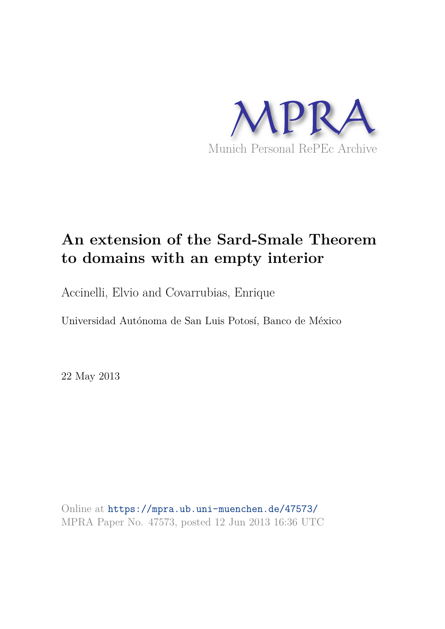

# **An extension of the Sard-Smale Theorem to domains with an empty interior**

Accinelli, Elvio and Covarrubias, Enrique

Universidad Autónoma de San Luis Potosí, Banco de México

22 May 2013

Online at https://mpra.ub.uni-muenchen.de/47573/ MPRA Paper No. 47573, posted 12 Jun 2013 16:36 UTC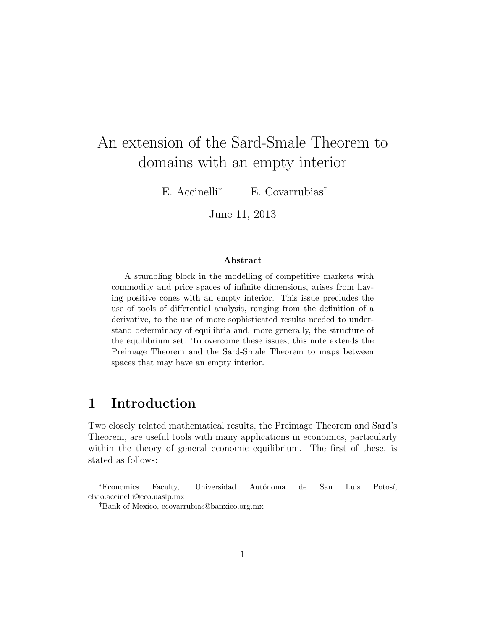# An extension of the Sard-Smale Theorem to domains with an empty interior

E. Accinelli<sup>∗</sup> E. Covarrubias†

June 11, 2013

#### Abstract

A stumbling block in the modelling of competitive markets with commodity and price spaces of infinite dimensions, arises from having positive cones with an empty interior. This issue precludes the use of tools of differential analysis, ranging from the definition of a derivative, to the use of more sophisticated results needed to understand determinacy of equilibria and, more generally, the structure of the equilibrium set. To overcome these issues, this note extends the Preimage Theorem and the Sard-Smale Theorem to maps between spaces that may have an empty interior.

# 1 Introduction

Two closely related mathematical results, the Preimage Theorem and Sard's Theorem, are useful tools with many applications in economics, particularly within the theory of general economic equilibrium. The first of these, is stated as follows:

<sup>∗</sup>Economics Faculty, Universidad Aut´onoma de San Luis Potos´ı, elvio.accinelli@eco.uaslp.mx

<sup>†</sup>Bank of Mexico, ecovarrubias@banxico.org.mx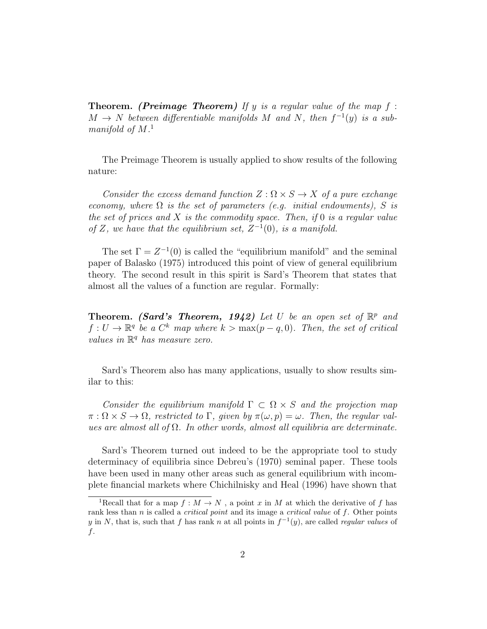**Theorem.** (Preimage Theorem) If y is a regular value of the map  $f$ :  $M \rightarrow N$  between differentiable manifolds M and N, then  $f^{-1}(y)$  is a submanifold of  $M$ .<sup>1</sup>

The Preimage Theorem is usually applied to show results of the following nature:

Consider the excess demand function  $Z : \Omega \times S \to X$  of a pure exchange economy, where  $\Omega$  is the set of parameters (e.g. initial endowments), S is the set of prices and  $X$  is the commodity space. Then, if 0 is a regular value of Z, we have that the equilibrium set,  $Z^{-1}(0)$ , is a manifold.

The set  $\Gamma = Z^{-1}(0)$  is called the "equilibrium manifold" and the seminal paper of Balasko (1975) introduced this point of view of general equilibrium theory. The second result in this spirit is Sard's Theorem that states that almost all the values of a function are regular. Formally:

**Theorem.** (Sard's Theorem, 1942) Let U be an open set of  $\mathbb{R}^p$  and  $f: U \to \mathbb{R}^q$  be a  $C^k$  map where  $k > \max(p-q, 0)$ . Then, the set of critical values in  $\mathbb{R}^q$  has measure zero.

Sard's Theorem also has many applications, usually to show results similar to this:

Consider the equilibrium manifold  $\Gamma \subset \Omega \times S$  and the projection map  $\pi : \Omega \times S \to \Omega$ , restricted to  $\Gamma$ , given by  $\pi(\omega, p) = \omega$ . Then, the regular values are almost all of  $\Omega$ . In other words, almost all equilibria are determinate.

Sard's Theorem turned out indeed to be the appropriate tool to study determinacy of equilibria since Debreu's (1970) seminal paper. These tools have been used in many other areas such as general equilibrium with incomplete financial markets where Chichilnisky and Heal (1996) have shown that

<sup>&</sup>lt;sup>1</sup>Recall that for a map  $f : M \to N$ , a point x in M at which the derivative of f has rank less than  $n$  is called a *critical point* and its image a *critical value* of  $f$ . Other points y in N, that is, such that f has rank n at all points in  $f^{-1}(y)$ , are called regular values of f.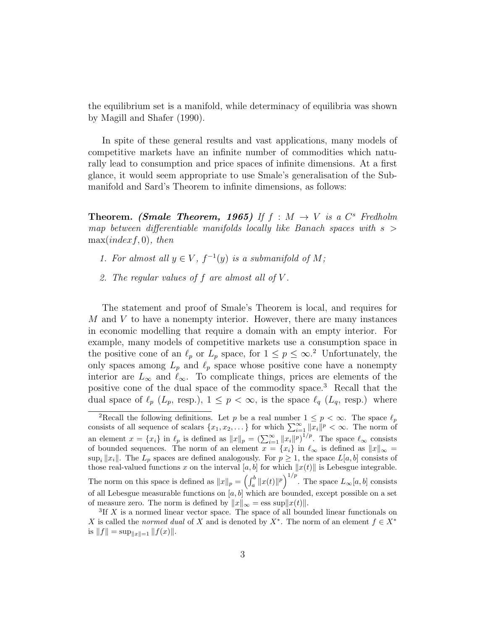the equilibrium set is a manifold, while determinacy of equilibria was shown by Magill and Shafer (1990).

In spite of these general results and vast applications, many models of competitive markets have an infinite number of commodities which naturally lead to consumption and price spaces of infinite dimensions. At a first glance, it would seem appropriate to use Smale's generalisation of the Submanifold and Sard's Theorem to infinite dimensions, as follows:

**Theorem.** (Smale Theorem, 1965) If  $f : M \rightarrow V$  is a  $C^s$  Fredholm map between differentiable manifolds locally like Banach spaces with  $s >$  $max(indexf, 0), then$ 

- 1. For almost all  $y \in V$ ,  $f^{-1}(y)$  is a submanifold of M;
- 2. The regular values of f are almost all of V .

The statement and proof of Smale's Theorem is local, and requires for  $M$  and  $V$  to have a nonempty interior. However, there are many instances in economic modelling that require a domain with an empty interior. For example, many models of competitive markets use a consumption space in the positive cone of an  $\ell_p$  or  $L_p$  space, for  $1 \leq p \leq \infty$ .<sup>2</sup> Unfortunately, the only spaces among  $L_p$  and  $\ell_p$  space whose positive cone have a nonempty interior are  $L_{\infty}$  and  $\ell_{\infty}$ . To complicate things, prices are elements of the positive cone of the dual space of the commodity space.<sup>3</sup> Recall that the dual space of  $\ell_p$  ( $L_p$ , resp.),  $1 \leq p < \infty$ , is the space  $\ell_q$  ( $L_q$ , resp.) where

<sup>&</sup>lt;sup>2</sup>Recall the following definitions. Let p be a real number  $1 \leq p < \infty$ . The space  $\ell_p$ consists of all sequence of scalars  $\{x_1, x_2, \ldots\}$  for which  $\sum_{i=1}^{\infty} ||x_i||^p < \infty$ . The norm of an element  $x = \{x_i\}$  in  $\ell_p$  is defined as  $||x||_p = \left(\sum_{i=1}^{\infty} ||x_i||^p\right)^{1/p}$ . The space  $\ell_{\infty}$  consists of bounded sequences. The norm of an element  $x = \{x_i\}$  in  $\ell_{\infty}$  is defined as  $||x||_{\infty} =$ sup<sub>i</sub>  $||x_i||$ . The  $L_p$  spaces are defined analogously. For  $p \ge 1$ , the space  $L[a, b]$  consists of those real-valued functions x on the interval  $[a, b]$  for which  $||x(t)||$  is Lebesgue integrable. The norm on this space is defined as  $||x||_p = \left(\int_a^b ||x(t)||^p\right)^{1/p}$ . The space  $L_\infty[a, b]$  consists of all Lebesgue measurable functions on  $[a, b]$  which are bounded, except possible on a set of measure zero. The norm is defined by  $||x||_{\infty} = \text{ess sup} ||x(t)||$ .

 ${}^{3}$ If X is a normed linear vector space. The space of all bounded linear functionals on X is called the normed dual of X and is denoted by  $X^*$ . The norm of an element  $f \in X^*$ is  $||f|| = \sup_{||x||=1} ||f(x)||.$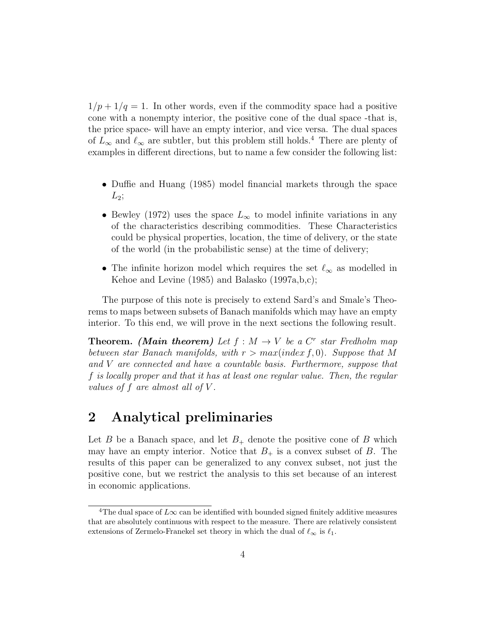$1/p + 1/q = 1$ . In other words, even if the commodity space had a positive cone with a nonempty interior, the positive cone of the dual space -that is, the price space- will have an empty interior, and vice versa. The dual spaces of  $L_{\infty}$  and  $\ell_{\infty}$  are subtler, but this problem still holds.<sup>4</sup> There are plenty of examples in different directions, but to name a few consider the following list:

- Duffie and Huang (1985) model financial markets through the space  $L_2;$
- Bewley (1972) uses the space  $L_{\infty}$  to model infinite variations in any of the characteristics describing commodities. These Characteristics could be physical properties, location, the time of delivery, or the state of the world (in the probabilistic sense) at the time of delivery;
- The infinite horizon model which requires the set  $\ell_{\infty}$  as modelled in Kehoe and Levine (1985) and Balasko (1997a,b,c);

The purpose of this note is precisely to extend Sard's and Smale's Theorems to maps between subsets of Banach manifolds which may have an empty interior. To this end, we will prove in the next sections the following result.

**Theorem.** (Main theorem) Let  $f : M \to V$  be a  $C^r$  star Fredholm map between star Banach manifolds, with  $r > max(index f, 0)$ . Suppose that M and V are connected and have a countable basis. Furthermore, suppose that f is locally proper and that it has at least one regular value. Then, the regular values of f are almost all of  $V$ .

## 2 Analytical preliminaries

Let B be a Banach space, and let  $B_+$  denote the positive cone of B which may have an empty interior. Notice that  $B_+$  is a convex subset of B. The results of this paper can be generalized to any convex subset, not just the positive cone, but we restrict the analysis to this set because of an interest in economic applications.

<sup>&</sup>lt;sup>4</sup>The dual space of  $L\infty$  can be identified with bounded signed finitely additive measures that are absolutely continuous with respect to the measure. There are relatively consistent extensions of Zermelo-Franekel set theory in which the dual of  $\ell_{\infty}$  is  $\ell_1$ .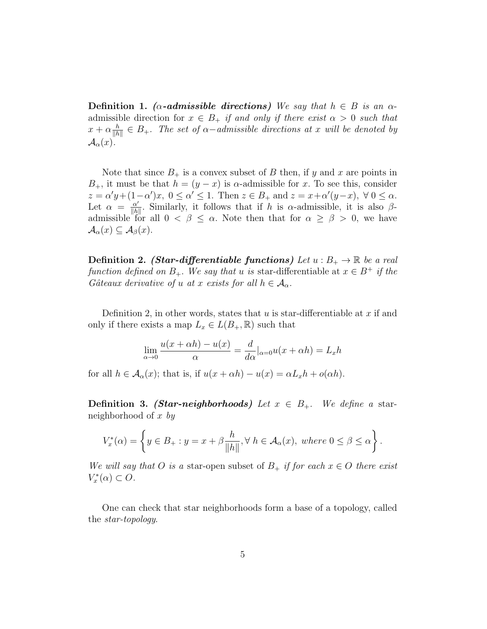Definition 1. ( $\alpha$ -admissible directions) We say that  $h \in B$  is an  $\alpha$ admissible direction for  $x \in B_+$  if and only if there exist  $\alpha > 0$  such that  $x + \alpha \frac{h}{\|h}$  $\frac{h}{\|h\|} \in B_+.$  The set of  $\alpha$ -admissible directions at x will be denoted by  $\mathcal{A}_{\alpha}(x)$ .

Note that since  $B_+$  is a convex subset of B then, if y and x are points in  $B_+$ , it must be that  $h = (y - x)$  is  $\alpha$ -admissible for x. To see this, consider  $z = \alpha' y + (1 - \alpha') x, \ 0 \leq \alpha' \leq 1.$  Then  $z \in B_+$  and  $z = x + \alpha' (y - x), \ \forall \ 0 \leq \alpha.$ Let  $\alpha = \frac{\alpha'}{\|b\|}$  $\frac{\alpha'}{\|h\|}$ . Similarly, it follows that if h is  $\alpha$ -admissible, it is also  $\beta$ admissible for all  $0 < \beta \leq \alpha$ . Note then that for  $\alpha \geq \beta > 0$ , we have  $\mathcal{A}_{\alpha}(x) \subseteq \mathcal{A}_{\beta}(x).$ 

**Definition 2.** (Star-differentiable functions) Let  $u : B_+ \to \mathbb{R}$  be a real function defined on  $B_+$ . We say that u is star-differentiable at  $x \in B^+$  if the Gâteaux derivative of u at x exists for all  $h \in \mathcal{A}_{\alpha}$ .

Definition 2, in other words, states that  $u$  is star-differentiable at  $x$  if and only if there exists a map  $L_x \in L(B_+, \mathbb{R})$  such that

$$
\lim_{\alpha \to 0} \frac{u(x + \alpha h) - u(x)}{\alpha} = \frac{d}{d\alpha} |_{\alpha = 0} u(x + \alpha h) = L_x h
$$

for all  $h \in \mathcal{A}_{\alpha}(x)$ ; that is, if  $u(x + \alpha h) - u(x) = \alpha L_x h + o(\alpha h)$ .

**Definition 3.** (Star-neighborhoods) Let  $x \in B_+$ . We define a starneighborhood of x by

$$
V_x^*(\alpha) = \left\{ y \in B_+ : y = x + \beta \frac{h}{\|h\|}, \forall \ h \in \mathcal{A}_{\alpha}(x), \ where \ 0 \le \beta \le \alpha \right\}.
$$

We will say that O is a star-open subset of  $B_+$  if for each  $x \in O$  there exist  $V_x^*(\alpha) \subset O.$ 

One can check that star neighborhoods form a base of a topology, called the star-topology.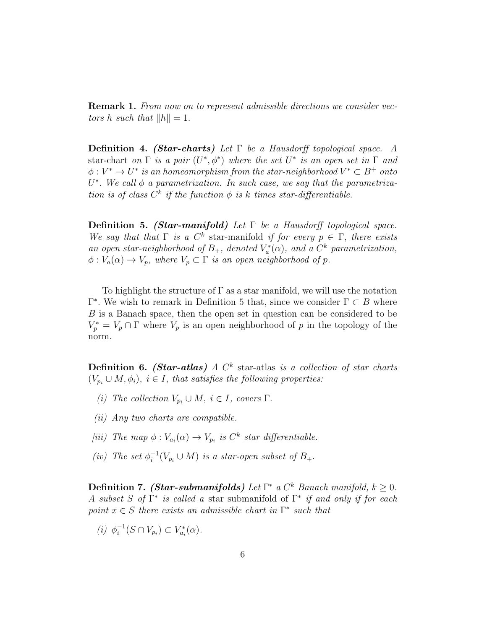**Remark 1.** From now on to represent admissible directions we consider vectors h such that  $||h|| = 1$ .

**Definition 4. (Star-charts)** Let  $\Gamma$  be a Hausdorff topological space. A star-chart on  $\Gamma$  is a pair  $(U^*,\phi^*)$  where the set  $U^*$  is an open set in  $\Gamma$  and  $\phi: V^* \to U^*$  is an homeomorphism from the star-neighborhood  $V^* \subset B^+$  onto  $U^*$ . We call  $\phi$  a parametrization. In such case, we say that the parametrization is of class  $C^k$  if the function  $\phi$  is k times star-differentiable.

Definition 5. (Star-manifold) Let  $\Gamma$  be a Hausdorff topological space. We say that that  $\Gamma$  is a  $C^k$  star-manifold if for every  $p \in \Gamma$ , there exists an open star-neighborhood of  $B_+$ , denoted  $V_a^*(\alpha)$ , and a  $C^k$  parametrization,  $\phi: V_a(\alpha) \to V_p$ , where  $V_p \subset \Gamma$  is an open neighborhood of p.

To highlight the structure of  $\Gamma$  as a star manifold, we will use the notation  $Γ^*$ . We wish to remark in Definition 5 that, since we consider  $Γ ⊂ B$  where B is a Banach space, then the open set in question can be considered to be  $V_p^* = V_p \cap \Gamma$  where  $V_p$  is an open neighborhood of p in the topology of the norm.

**Definition 6.** (Star-atlas) A  $C<sup>k</sup>$  star-atlas is a collection of star charts  $(V_{p_i} \cup M, \phi_i), i \in I$ , that satisfies the following properties:

- (i) The collection  $V_{p_i} \cup M$ ,  $i \in I$ , covers  $\Gamma$ .
- (ii) Any two charts are compatible.
- [iii) The map  $\phi: V_{a_i}(\alpha) \to V_{p_i}$  is  $C^k$  star differentiable.
- (iv) The set  $\phi_i^{-1}(V_{p_i} \cup M)$  is a star-open subset of  $B_+$ .

**Definition 7.** (Star-submanifolds) Let  $\Gamma^*$  a  $C^k$  Banach manifold,  $k \geq 0$ . A subset S of  $\Gamma^*$  is called a star submanifold of  $\Gamma^*$  if and only if for each point  $x \in S$  there exists an admissible chart in  $\Gamma^*$  such that

(*i*)  $\phi_i^{-1}(S \cap V_{p_i}) \subset V_{a_i}^*(\alpha)$ .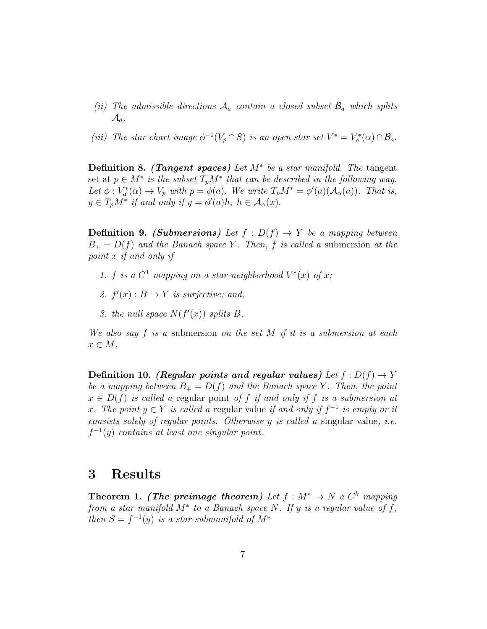- (ii) The admissible directions  $A_a$  contain a closed subset  $B_a$  which splits  $\mathcal{A}_a$ .
- (iii) The star chart image  $\phi^{-1}(V_p \cap S)$  is an open star set  $V^* = V_a^*(\alpha) \cap \mathcal{B}_a$ .

**Definition 8.** (Tangent spaces) Let  $M^*$  be a star manifold. The tangent set at  $p \in M^*$  is the subset  $T_pM^*$  that can be described in the following way. Let  $\phi: V_a^*(\alpha) \to V_p$  with  $p = \phi(a)$ . We write  $T_pM^* = \phi'(a)(\mathcal{A}_\alpha(a))$ . That is,  $y \in T_p M^*$  if and only if  $y = \phi'(a)h$ ,  $h \in \mathcal{A}_{\alpha}(x)$ .

**Definition 9.** (Submersions) Let  $f : D(f) \rightarrow Y$  be a mapping between  $B_+ = D(f)$  and the Banach space Y. Then, f is called a submersion at the point x if and only if

- 1. f is a  $C^1$  mapping on a star-neighborhood  $V^*(x)$  of x;
- 2.  $f'(x): B \to Y$  is surjective; and,
- 3. the null space  $N(f'(x))$  splits B.

We also say f is a submersion on the set M if it is a submersion at each  $x \in M$ .

Definition 10. (Regular points and regular values) Let  $f: D(f) \to Y$ be a mapping between  $B_+ = D(f)$  and the Banach space Y. Then, the point  $x \in D(f)$  is called a regular point of f if and only if f is a submersion at x. The point  $y \in Y$  is called a regular value if and only if  $f^{-1}$  is empty or it consists solely of regular points. Otherwise  $y$  is called a singular value, *i.e.*  $f^{-1}(y)$  contains at least one singular point.

### 3 Results

Theorem 1. (The preimage theorem) Let  $f : M^* \to N$  a  $C^k$  mapping from a star manifold  $M^*$  to a Banach space N. If y is a regular value of f, then  $S = f^{-1}(y)$  is a star-submanifold of  $M^*$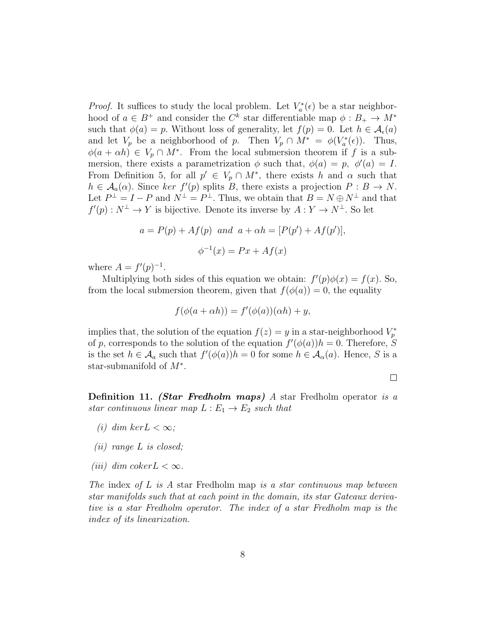*Proof.* It suffices to study the local problem. Let  $V_a^*(\epsilon)$  be a star neighborhood of  $a \in B^+$  and consider the  $C^k$  star differentiable map  $\phi : B_+ \to M^*$ such that  $\phi(a) = p$ . Without loss of generality, let  $f(p) = 0$ . Let  $h \in \mathcal{A}_{\epsilon}(a)$ and let  $V_p$  be a neighborhood of p. Then  $V_p \cap M^* = \phi(V_a^*(\epsilon))$ . Thus,  $\phi(a + \alpha h) \in V_p \cap M^*$ . From the local submersion theorem if f is a submersion, there exists a parametrization  $\phi$  such that,  $\phi(a) = p$ ,  $\phi'(a) = I$ . From Definition 5, for all  $p' \in V_p \cap M^*$ , there exists h and  $\alpha$  such that  $h \in \mathcal{A}_a(\alpha)$ . Since ker  $f'(p)$  splits B, there exists a projection  $P : B \to N$ . Let  $P^{\perp} = I - P$  and  $N^{\perp} = P^{\perp}$ . Thus, we obtain that  $B = N \oplus N^{\perp}$  and that  $f'(p) : N^{\perp} \to Y$  is bijective. Denote its inverse by  $A: Y \to N^{\perp}$ . So let

$$
a = P(p) + Af(p)
$$
 and  $a + \alpha h = [P(p') + Af(p')],$   
 $\phi^{-1}(x) = Px + Af(x)$ 

where  $A = f'(p)^{-1}$ .

Multiplying both sides of this equation we obtain:  $f'(p)\phi(x) = f(x)$ . So, from the local submersion theorem, given that  $f(\phi(a)) = 0$ , the equality

$$
f(\phi(a + \alpha h)) = f'(\phi(a))(\alpha h) + y,
$$

implies that, the solution of the equation  $f(z) = y$  in a star-neighborhood  $V_p^*$ of p, corresponds to the solution of the equation  $f'(\phi(a))h = 0$ . Therefore, S is the set  $h \in \mathcal{A}_a$  such that  $f'(\phi(a))h = 0$  for some  $h \in \mathcal{A}_\alpha(a)$ . Hence, S is a star-submanifold of  $M^*$ .

 $\Box$ 

Definition 11. (Star Fredholm maps) A star Fredholm operator is a star continuous linear map  $L : E_1 \to E_2$  such that

- (i) dim ker $L < \infty$ ;
- (ii) range L is closed;
- (*iii*) dim coker $L < \infty$ .

The index of  $L$  is  $A$  star Fredholm map is a star continuous map between star manifolds such that at each point in the domain, its star Gateaux derivative is a star Fredholm operator. The index of a star Fredholm map is the index of its linearization.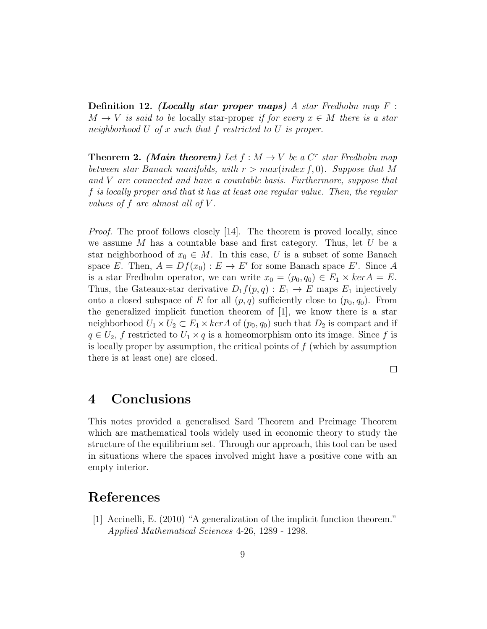**Definition 12.** (Locally star proper maps) A star Fredholm map  $F$ :  $M \to V$  is said to be locally star-proper if for every  $x \in M$  there is a star neighborhood U of x such that f restricted to U is proper.

**Theorem 2.** (Main theorem) Let  $f : M \to V$  be a  $C^r$  star Fredholm map between star Banach manifolds, with  $r > max(index f, 0)$ . Suppose that M and V are connected and have a countable basis. Furthermore, suppose that f is locally proper and that it has at least one regular value. Then, the regular values of f are almost all of V .

Proof. The proof follows closely [14]. The theorem is proved locally, since we assume  $M$  has a countable base and first category. Thus, let  $U$  be a star neighborhood of  $x_0 \in M$ . In this case, U is a subset of some Banach space E. Then,  $A = Df(x_0) : E \to E'$  for some Banach space E'. Since A is a star Fredholm operator, we can write  $x_0 = (p_0, q_0) \in E_1 \times \text{ker} A = E$ . Thus, the Gateaux-star derivative  $D_1 f(p,q) : E_1 \to E$  maps  $E_1$  injectively onto a closed subspace of E for all  $(p, q)$  sufficiently close to  $(p_0, q_0)$ . From the generalized implicit function theorem of [1], we know there is a star neighborhood  $U_1 \times U_2 \subset E_1 \times \ker A$  of  $(p_0, q_0)$  such that  $D_2$  is compact and if  $q \in U_2$ , f restricted to  $U_1 \times q$  is a homeomorphism onto its image. Since f is is locally proper by assumption, the critical points of  $f$  (which by assumption there is at least one) are closed.

 $\Box$ 

### 4 Conclusions

This notes provided a generalised Sard Theorem and Preimage Theorem which are mathematical tools widely used in economic theory to study the structure of the equilibrium set. Through our approach, this tool can be used in situations where the spaces involved might have a positive cone with an empty interior.

### References

[1] Accinelli, E. (2010) "A generalization of the implicit function theorem." Applied Mathematical Sciences 4-26, 1289 - 1298.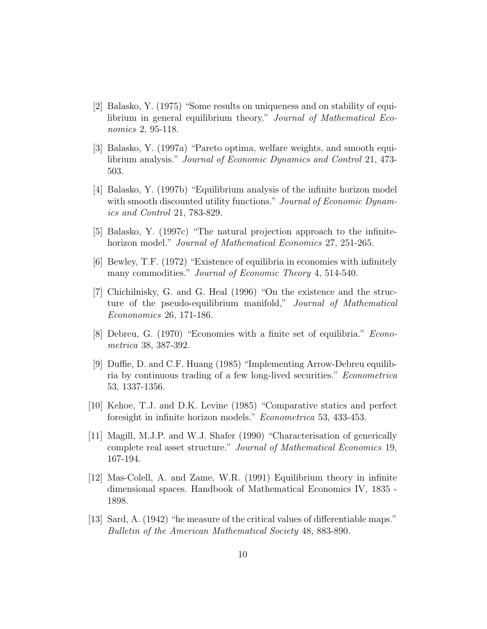- [2] Balasko, Y. (1975) "Some results on uniqueness and on stability of equilibrium in general equilibrium theory." Journal of Mathematical Economics 2, 95-118.
- [3] Balasko, Y. (1997a) "Pareto optima, welfare weights, and smooth equilibrium analysis." Journal of Economic Dynamics and Control 21, 473- 503.
- [4] Balasko, Y. (1997b) "Equilibrium analysis of the infinite horizon model with smooth discounted utility functions." Journal of Economic Dynamics and Control 21, 783-829.
- [5] Balasko, Y. (1997c) "The natural projection approach to the infinitehorizon model." *Journal of Mathematical Economics* 27, 251-265.
- [6] Bewley, T.F. (1972) "Existence of equilibria in economies with infinitely many commodities." *Journal of Economic Theory* 4, 514-540.
- [7] Chichilnisky, G. and G. Heal (1996) "On the existence and the structure of the pseudo-equilibrium manifold," Journal of Mathematical Econonomics 26, 171-186.
- [8] Debreu, G. (1970) "Economies with a finite set of equilibria." Econometrica 38, 387-392.
- [9] Duffie, D. and C.F. Huang (1985) "Implementing Arrow-Debreu equilibria by continuous trading of a few long-lived securities." Econometrica 53, 1337-1356.
- [10] Kehoe, T.J. and D.K. Levine (1985) "Comparative statics and perfect foresight in infinite horizon models." Econometrica 53, 433-453.
- [11] Magill, M.J.P. and W.J. Shafer (1990) "Characterisation of generically complete real asset structure." Journal of Mathematical Economics 19, 167-194.
- [12] Mas-Colell, A. and Zame, W.R. (1991) Equilibrium theory in infinite dimensional spaces. Handbook of Mathematical Economics IV, 1835 - 1898.
- [13] Sard, A. (1942) "he measure of the critical values of differentiable maps." Bulletin of the American Mathematical Society 48, 883-890.